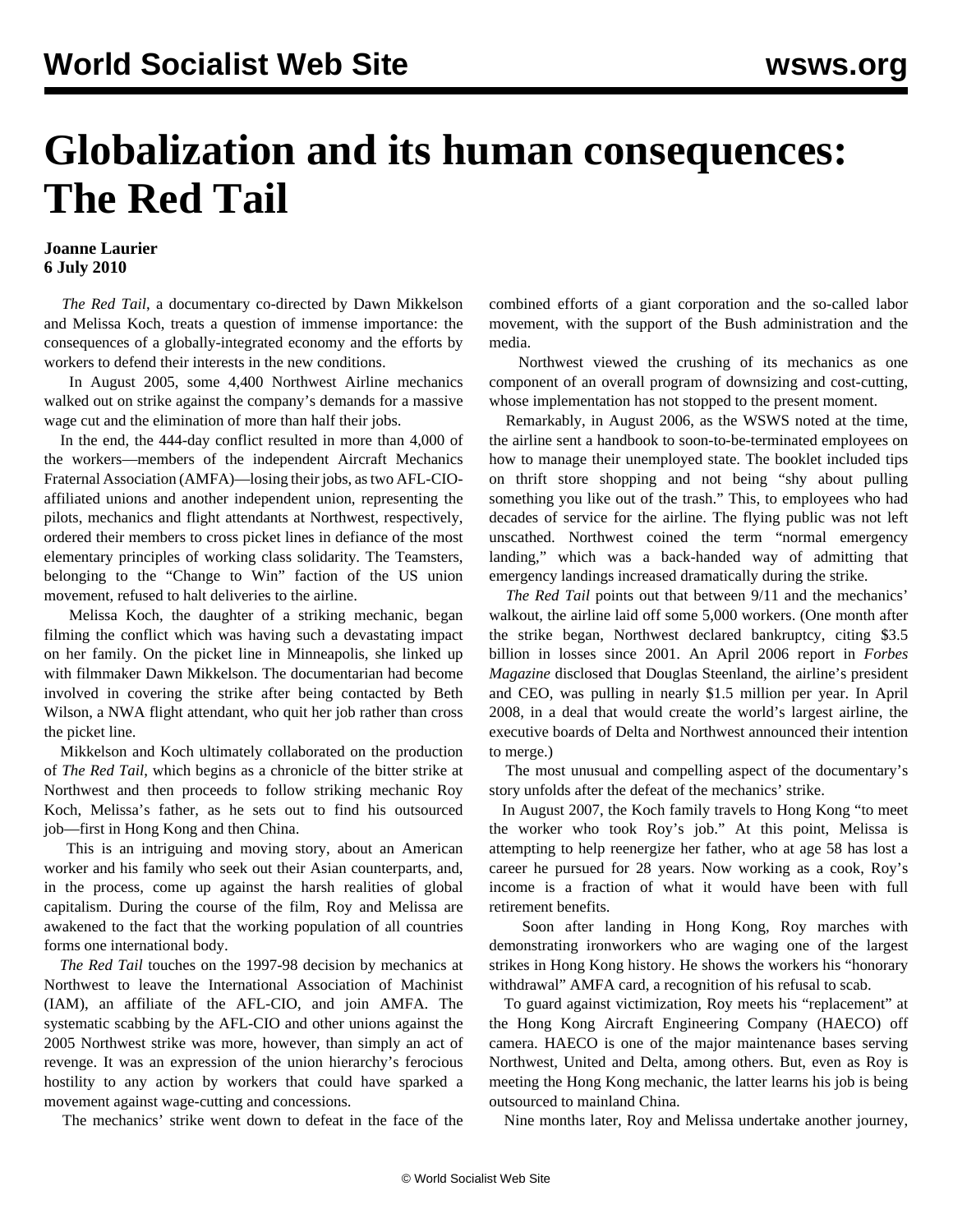## **Globalization and its human consequences: The Red Tail**

## **Joanne Laurier 6 July 2010**

 *The Red Tail*, a documentary co-directed by Dawn Mikkelson and Melissa Koch, treats a question of immense importance: the consequences of a globally-integrated economy and the efforts by workers to defend their interests in the new conditions.

 In August 2005, some 4,400 Northwest Airline mechanics walked out on strike against the company's demands for a massive wage cut and the elimination of more than half their jobs.

 In the end, the 444-day conflict resulted in more than 4,000 of the workers—members of the independent Aircraft Mechanics Fraternal Association (AMFA)—losing their jobs, as two AFL-CIOaffiliated unions and another independent union, representing the pilots, mechanics and flight attendants at Northwest, respectively, ordered their members to cross picket lines in defiance of the most elementary principles of working class solidarity. The Teamsters, belonging to the "Change to Win" faction of the US union movement, refused to halt deliveries to the airline.

 Melissa Koch, the daughter of a striking mechanic, began filming the conflict which was having such a devastating impact on her family. On the picket line in Minneapolis, she linked up with filmmaker Dawn Mikkelson. The documentarian had become involved in covering the strike after being contacted by Beth Wilson, a NWA flight attendant, who quit her job rather than cross the picket line.

 Mikkelson and Koch ultimately collaborated on the production of *The Red Tail*, which begins as a chronicle of the bitter strike at Northwest and then proceeds to follow striking mechanic Roy Koch, Melissa's father, as he sets out to find his outsourced job—first in Hong Kong and then China.

 This is an intriguing and moving story, about an American worker and his family who seek out their Asian counterparts, and, in the process, come up against the harsh realities of global capitalism. During the course of the film, Roy and Melissa are awakened to the fact that the working population of all countries forms one international body.

 *The Red Tail* touches on the 1997-98 decision by mechanics at Northwest to leave the International Association of Machinist (IAM), an affiliate of the AFL-CIO, and join AMFA. The systematic scabbing by the AFL-CIO and other unions against the 2005 Northwest strike was more, however, than simply an act of revenge. It was an expression of the union hierarchy's ferocious hostility to any action by workers that could have sparked a movement against wage-cutting and concessions.

The mechanics' strike went down to defeat in the face of the

combined efforts of a giant corporation and the so-called labor movement, with the support of the Bush administration and the media.

 Northwest viewed the crushing of its mechanics as one component of an overall program of downsizing and cost-cutting, whose implementation has not stopped to the present moment.

 Remarkably, in August 2006, as the WSWS noted at the time, the airline sent a handbook to soon-to-be-terminated employees on how to manage their unemployed state. The booklet included tips on thrift store shopping and not being "shy about pulling something you like out of the trash." This, to employees who had decades of service for the airline. The flying public was not left unscathed. Northwest coined the term "normal emergency landing," which was a back-handed way of admitting that emergency landings increased dramatically during the strike.

*The Red Tail* points out that between  $9/11$  and the mechanics' walkout, the airline laid off some 5,000 workers. (One month after the strike began, Northwest declared bankruptcy, citing \$3.5 billion in losses since 2001. An April 2006 report in *Forbes Magazine* disclosed that Douglas Steenland, the airline's president and CEO, was pulling in nearly \$1.5 million per year. In April 2008, in a deal that would create the world's largest airline, the executive boards of Delta and Northwest announced their intention to merge.)

 The most unusual and compelling aspect of the documentary's story unfolds after the defeat of the mechanics' strike.

 In August 2007, the Koch family travels to Hong Kong "to meet the worker who took Roy's job." At this point, Melissa is attempting to help reenergize her father, who at age 58 has lost a career he pursued for 28 years. Now working as a cook, Roy's income is a fraction of what it would have been with full retirement benefits.

 Soon after landing in Hong Kong, Roy marches with demonstrating ironworkers who are waging one of the largest strikes in Hong Kong history. He shows the workers his "honorary withdrawal" AMFA card, a recognition of his refusal to scab.

 To guard against victimization, Roy meets his "replacement" at the Hong Kong Aircraft Engineering Company (HAECO) off camera. HAECO is one of the major maintenance bases serving Northwest, United and Delta, among others. But, even as Roy is meeting the Hong Kong mechanic, the latter learns his job is being outsourced to mainland China.

Nine months later, Roy and Melissa undertake another journey,